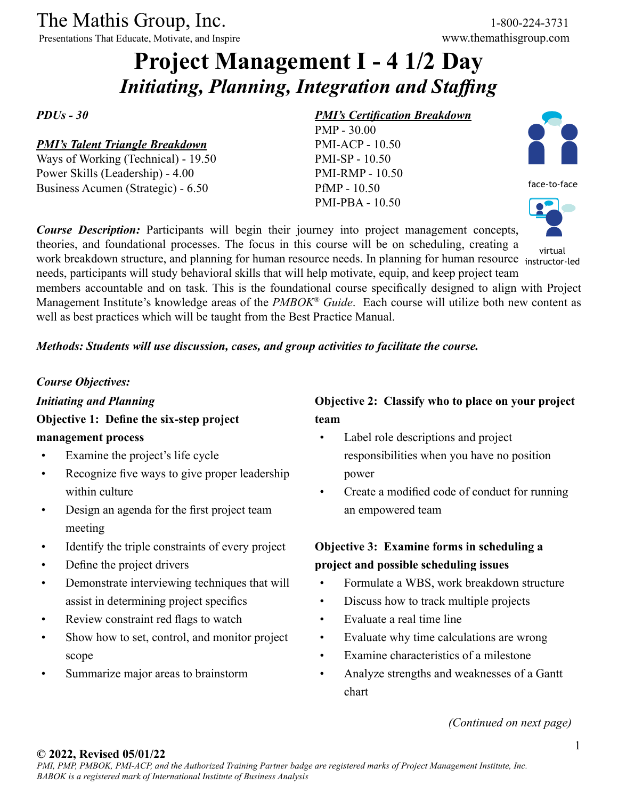The Mathis Group, Inc. 1-800-224-3731<br>
Presentations That Educate, Motivate, and Inspire www.themathisgroup.com

Presentations That Educate, Motivate, and Inspire

# **Project Management I - 4 1/2 Day** *Initiating, Planning, Integration and Staffing*

*PDUs - 30*

#### *PMI's Talent Triangle Breakdown*

Ways of Working (Technical) - 19.50 Power Skills (Leadership) - 4.00 Business Acumen (Strategic) - 6.50

#### *PMI's Certification Breakdown*

PMP - 30.00 PMI-ACP - 10.50 PMI-SP - 10.50 PMI-RMP - 10.50 PfMP - 10.50 PMI-PBA - 10.50



face-to-face



virtual

work breakdown structure, and planning for human resource needs. In planning for human resource instructor-led needs, participants will study behavioral skills that will help motivate, equip, and keep project team members accountable and on task. This is the foundational course specifically designed to align with Project Management Institute's knowledge areas of the *PMBOK® Guide*. Each course will utilize both new content as well as best practices which will be taught from the Best Practice Manual.

*Course Description:* Participants will begin their journey into project management concepts, theories, and foundational processes. The focus in this course will be on scheduling, creating a

#### *Methods: Students will use discussion, cases, and group activities to facilitate the course.*

#### *Course Objectives:*

*Initiating and Planning* **Objective 1: Define the six-step project management process**

- Examine the project's life cycle
- Recognize five ways to give proper leadership within culture
- Design an agenda for the first project team meeting
- Identify the triple constraints of every project
- Define the project drivers
- Demonstrate interviewing techniques that will assist in determining project specifics
- Review constraint red flags to watch
- Show how to set, control, and monitor project scope
- Summarize major areas to brainstorm

#### **Objective 2: Classify who to place on your project team**

- Label role descriptions and project responsibilities when you have no position power
- Create a modified code of conduct for running an empowered team

## **Objective 3: Examine forms in scheduling a project and possible scheduling issues**

- Formulate a WBS, work breakdown structure
- Discuss how to track multiple projects
- Evaluate a real time line
- Evaluate why time calculations are wrong
- Examine characteristics of a milestone
- Analyze strengths and weaknesses of a Gantt chart

*(Continued on next page)*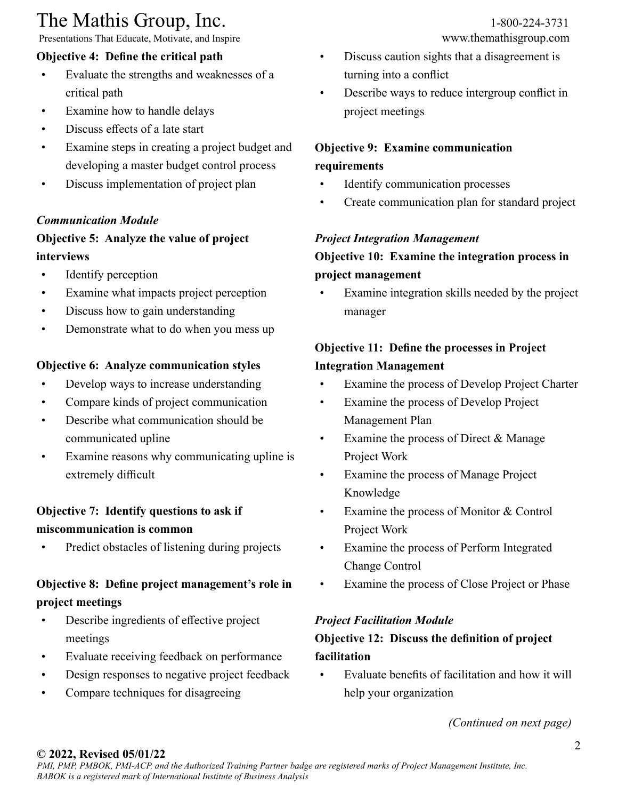# The Mathis Group, Inc. 1-800-224-3731<br>
Presentations That Educate, Motivate, and Inspire www.themathisgroup.com

Presentations That Educate, Motivate, and Inspire

#### **Objective 4: Define the critical path**

- Evaluate the strengths and weaknesses of a critical path
- Examine how to handle delays
- Discuss effects of a late start
- Examine steps in creating a project budget and developing a master budget control process
- Discuss implementation of project plan

#### *Communication Module*

#### **Objective 5: Analyze the value of project interviews**

- Identify perception
- Examine what impacts project perception
- Discuss how to gain understanding
- Demonstrate what to do when you mess up

#### **Objective 6: Analyze communication styles**

- Develop ways to increase understanding
- Compare kinds of project communication
- Describe what communication should be communicated upline
- Examine reasons why communicating upline is extremely difficult

## **Objective 7: Identify questions to ask if miscommunication is common**

Predict obstacles of listening during projects

# **Objective 8: Define project management's role in project meetings**

- Describe ingredients of effective project meetings
- Evaluate receiving feedback on performance
- Design responses to negative project feedback
- Compare techniques for disagreeing

- Discuss caution sights that a disagreement is turning into a conflict
- Describe ways to reduce intergroup conflict in project meetings

### **Objective 9: Examine communication requirements**

- Identify communication processes
- Create communication plan for standard project

#### *Project Integration Management*

#### **Objective 10: Examine the integration process in project management**

Examine integration skills needed by the project manager

## **Objective 11: Define the processes in Project Integration Management**

- Examine the process of Develop Project Charter
- Examine the process of Develop Project Management Plan
- Examine the process of Direct & Manage Project Work
- Examine the process of Manage Project Knowledge
- Examine the process of Monitor & Control Project Work
- Examine the process of Perform Integrated Change Control
- Examine the process of Close Project or Phase

#### *Project Facilitation Module*

# **Objective 12: Discuss the definition of project facilitation**

• Evaluate benefits of facilitation and how it will help your organization

*(Continued on next page)*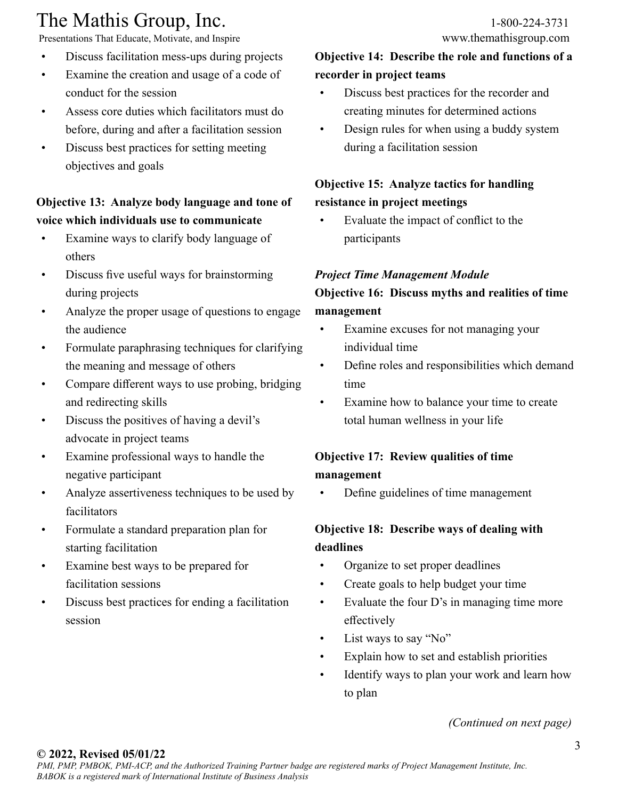# The Mathis Group, Inc. 1-800-224-3731<br>
Presentations That Educate, Motivate, and Inspire www.themathisgroup.com

Presentations That Educate, Motivate, and Inspire

- Discuss facilitation mess-ups during projects
- Examine the creation and usage of a code of conduct for the session
- Assess core duties which facilitators must do before, during and after a facilitation session
- Discuss best practices for setting meeting objectives and goals

## **Objective 13: Analyze body language and tone of voice which individuals use to communicate**

- Examine ways to clarify body language of others
- Discuss five useful ways for brainstorming during projects
- Analyze the proper usage of questions to engage the audience
- Formulate paraphrasing techniques for clarifying the meaning and message of others
- Compare different ways to use probing, bridging and redirecting skills
- Discuss the positives of having a devil's advocate in project teams
- Examine professional ways to handle the negative participant
- Analyze assertiveness techniques to be used by facilitators
- Formulate a standard preparation plan for starting facilitation
- Examine best ways to be prepared for facilitation sessions
- Discuss best practices for ending a facilitation session

# **Objective 14: Describe the role and functions of a recorder in project teams**

- Discuss best practices for the recorder and creating minutes for determined actions
- Design rules for when using a buddy system during a facilitation session

# **Objective 15: Analyze tactics for handling resistance in project meetings**

• Evaluate the impact of conflict to the participants

#### *Project Time Management Module*

# **Objective 16: Discuss myths and realities of time management**

- Examine excuses for not managing your individual time
- Define roles and responsibilities which demand time
- Examine how to balance your time to create total human wellness in your life

# **Objective 17: Review qualities of time management**

• Define guidelines of time management

## **Objective 18: Describe ways of dealing with deadlines**

- Organize to set proper deadlines
- Create goals to help budget your time
- Evaluate the four D's in managing time more effectively
- List ways to say "No"
- Explain how to set and establish priorities
- Identify ways to plan your work and learn how to plan

*(Continued on next page)*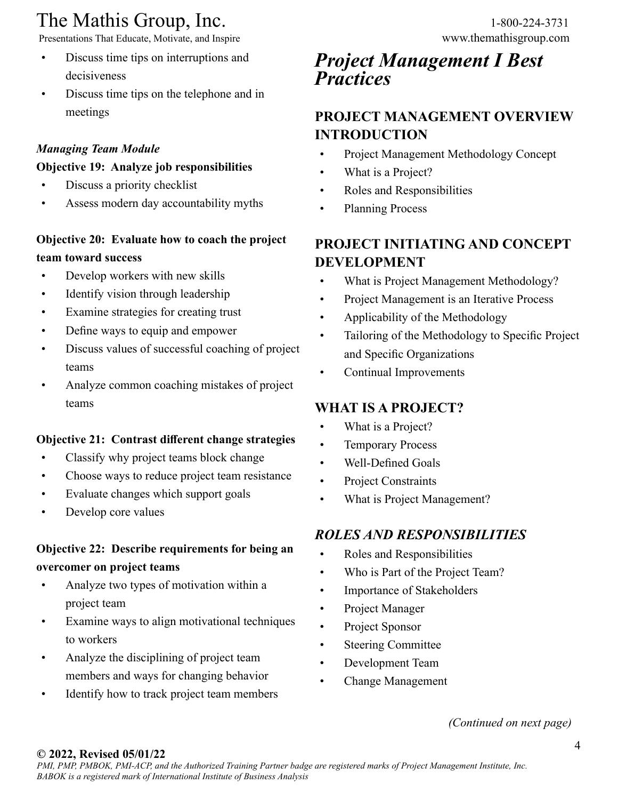# The Mathis Group, Inc. 1-800-224-3731

Presentations That Educate, Motivate, and Inspire www.themathisgroup.com

- Discuss time tips on interruptions and decisiveness
- Discuss time tips on the telephone and in meetings

# *Managing Team Module*

#### **Objective 19: Analyze job responsibilities**

- Discuss a priority checklist
- Assess modern day accountability myths

# **Objective 20: Evaluate how to coach the project team toward success**

- Develop workers with new skills
- Identify vision through leadership
- Examine strategies for creating trust
- Define ways to equip and empower
- Discuss values of successful coaching of project teams
- Analyze common coaching mistakes of project teams

# **Objective 21: Contrast different change strategies**

- Classify why project teams block change
- Choose ways to reduce project team resistance
- Evaluate changes which support goals
- Develop core values

# **Objective 22: Describe requirements for being an overcomer on project teams**

- Analyze two types of motivation within a project team
- Examine ways to align motivational techniques to workers
- Analyze the disciplining of project team members and ways for changing behavior
- Identify how to track project team members

# *Project Management I Best Practices*

# **PROJECT MANAGEMENT OVERVIEW INTRODUCTION**

- Project Management Methodology Concept
- What is a Project?
- Roles and Responsibilities
- Planning Process

# **PROJECT INITIATING AND CONCEPT DEVELOPMENT**

- What is Project Management Methodology?
- Project Management is an Iterative Process
- Applicability of the Methodology
- Tailoring of the Methodology to Specific Project and Specific Organizations
- Continual Improvements

# **WHAT IS A PROJECT?**

- What is a Project?
- Temporary Process
- Well-Defined Goals
- Project Constraints
- What is Project Management?

# *ROLES AND RESPONSIBILITIES*

- Roles and Responsibilities
- Who is Part of the Project Team?
- Importance of Stakeholders
- Project Manager
- Project Sponsor
- Steering Committee
- Development Team
- Change Management

#### *(Continued on next page)*